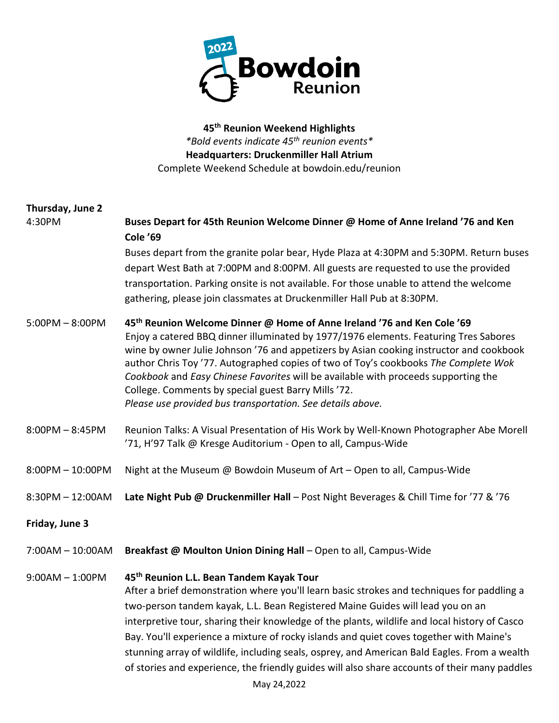

**45th Reunion Weekend Highlights** *\*Bold events indicate 45th reunion events\** **Headquarters: Druckenmiller Hall Atrium** Complete Weekend Schedule at bowdoin.edu/reunion

## **Thursday, June 2** 4:30PM **Buses Depart for 45th Reunion Welcome Dinner @ Home of Anne Ireland '76 and Ken Cole '69** Buses depart from the granite polar bear, Hyde Plaza at 4:30PM and 5:30PM. Return buses depart West Bath at 7:00PM and 8:00PM. All guests are requested to use the provided transportation. Parking onsite is not available. For those unable to attend the welcome gathering, please join classmates at Druckenmiller Hall Pub at 8:30PM. 5:00PM – 8:00PM **45th Reunion Welcome Dinner @ Home of Anne Ireland '76 and Ken Cole '69**  Enjoy a catered BBQ dinner illuminated by 1977/1976 elements. Featuring Tres Sabores wine by owner Julie Johnson '76 and appetizers by Asian cooking instructor and cookbook author Chris Toy '77. Autographed copies of two of Toy's cookbooks *The Complete Wok Cookbook* and *Easy Chinese Favorites* will be available with proceeds supporting the College. Comments by special guest Barry Mills '72. *Please use provided bus transportation. See details above.*  8:00PM – 8:45PM Reunion Talks: A Visual Presentation of His Work by Well-Known Photographer Abe Morell '71, H'97 Talk @ Kresge Auditorium - Open to all, Campus-Wide 8:00PM – 10:00PM Night at the Museum @ Bowdoin Museum of Art – Open to all, Campus-Wide 8:30PM – 12:00AM **Late Night Pub @ Druckenmiller Hall** – Post Night Beverages & Chill Time for '77 & '76 **Friday, June 3** 7:00AM – 10:00AM **Breakfast @ Moulton Union Dining Hall** – Open to all, Campus-Wide 9:00AM – 1:00PM **45th Reunion L.L. Bean Tandem Kayak Tour**  After a brief demonstration where you'll learn basic strokes and techniques for paddling a two-person tandem kayak, L.L. Bean Registered Maine Guides will lead you on an interpretive tour, sharing their knowledge of the plants, wildlife and local history of Casco Bay. You'll experience a mixture of rocky islands and quiet coves together with Maine's stunning array of wildlife, including seals, osprey, and American Bald Eagles. From a wealth of stories and experience, the friendly guides will also share accounts of their many paddles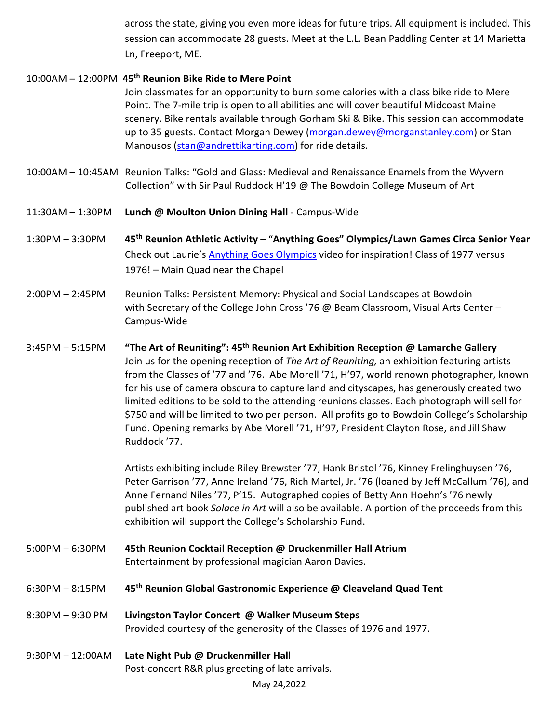across the state, giving you even more ideas for future trips. All equipment is included. This session can accommodate 28 guests. Meet at the L.L. Bean Paddling Center at 14 Marietta Ln, Freeport, ME.

## 10:00AM – 12:00PM **45th Reunion Bike Ride to Mere Point**

Join classmates for an opportunity to burn some calories with a class bike ride to Mere Point. The 7-mile trip is open to all abilities and will cover beautiful Midcoast Maine scenery. Bike rentals available through Gorham Ski & Bike. This session can accommodate up to 35 guests. Contact Morgan Dewey [\(morgan.dewey@morganstanley.com\)](mailto:morgan.dewey@morganstanley.com) or Stan Manousos [\(stan@andrettikarting.com\)](mailto:stan@andrettikarting.com) for ride details.

- 10:00AM 10:45AM Reunion Talks: "Gold and Glass: Medieval and Renaissance Enamels from the Wyvern Collection" with Sir Paul Ruddock H'19 @ The Bowdoin College Museum of Art
- 11:30AM 1:30PM **Lunch @ Moulton Union Dining Hall** Campus-Wide
- 1:30PM 3:30PM **45th Reunion Athletic Activity** "**Anything Goes" Olympics/Lawn Games Circa Senior Year** Check out Laurie's [Anything Goes Olympics](https://nam02.safelinks.protection.outlook.com/?url=https%3A%2F%2Fwww.dropbox.com%2Fs%2Feg9o6gnyyqt73zy%2F2021_BlackBerryFarms_OlympicsONLY.mp4%3Fdl%3D0&data=04%7C01%7Cllessard%40bowdoin.edu%7C8f926382b3ed4b951e8e08d9ee2a65ea%7C984e32e5f98a4600aa3227c3f948abe3%7C1%7C0%7C637802688872560057%7CUnknown%7CTWFpbGZsb3d8eyJWIjoiMC4wLjAwMDAiLCJQIjoiV2luMzIiLCJBTiI6Ik1haWwiLCJXVCI6Mn0%3D%7C2000&sdata=psmTJCOhg9XMbsQXRo8NAO8C9Ysnz%2FCmOEh71aw%2B4WM%3D&reserved=0) video for inspiration! Class of 1977 versus 1976! – Main Quad near the Chapel
- 2:00PM 2:45PM Reunion Talks: Persistent Memory: Physical and Social Landscapes at Bowdoin with Secretary of the College John Cross '76 @ Beam Classroom, Visual Arts Center – Campus-Wide
- 3:45PM 5:15PM **"The Art of Reuniting": 45th Reunion Art Exhibition Reception @ Lamarche Gallery** Join us for the opening reception of *The Art of Reuniting,* an exhibition featuring artists from the Classes of '77 and '76. Abe Morell '71, H'97, world renown photographer, known for his use of camera obscura to capture land and cityscapes, has generously created two limited editions to be sold to the attending reunions classes. Each photograph will sell for \$750 and will be limited to two per person. All profits go to Bowdoin College's Scholarship Fund. Opening remarks by Abe Morell '71, H'97, President Clayton Rose, and Jill Shaw Ruddock '77.

Artists exhibiting include Riley Brewster '77, Hank Bristol '76, Kinney Frelinghuysen '76, Peter Garrison '77, Anne Ireland '76, Rich Martel, Jr. '76 (loaned by Jeff McCallum '76), and Anne Fernand Niles '77, P'15. Autographed copies of Betty Ann Hoehn's '76 newly published art book *Solace in Art* will also be available. A portion of the proceeds from this exhibition will support the College's Scholarship Fund.

- 5:00PM 6:30PM **45th Reunion Cocktail Reception @ Druckenmiller Hall Atrium** Entertainment by professional magician Aaron Davies.
- 6:30PM 8:15PM **45th Reunion Global Gastronomic Experience @ Cleaveland Quad Tent**
- 8:30PM 9:30 PM **Livingston Taylor Concert @ Walker Museum Steps** Provided courtesy of the generosity of the Classes of 1976 and 1977.
- 9:30PM 12:00AM **Late Night Pub @ Druckenmiller Hall**  Post-concert R&R plus greeting of late arrivals.

May 24,2022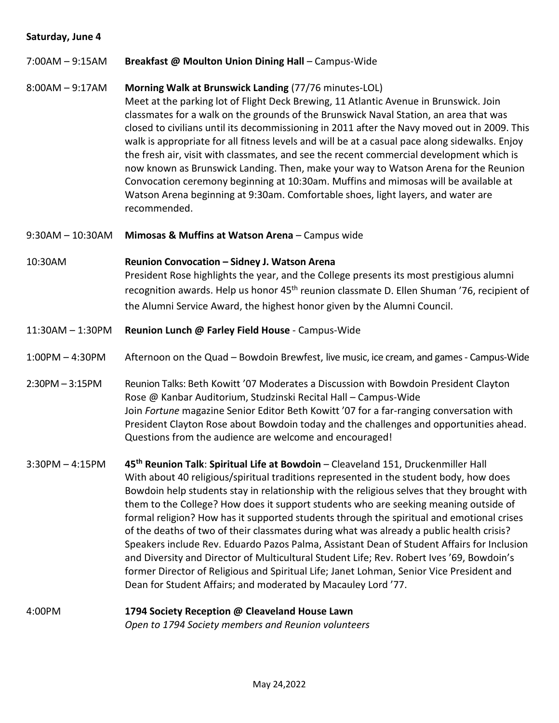## **Saturday, June 4**

7:00AM – 9:15AM **Breakfast @ Moulton Union Dining Hall** – Campus-Wide

## 8:00AM – 9:17AM **Morning Walk at Brunswick Landing** (77/76 minutes-LOL)

Meet at the parking lot of Flight Deck Brewing, 11 Atlantic Avenue in Brunswick. Join classmates for a walk on the grounds of the Brunswick Naval Station, an area that was closed to civilians until its decommissioning in 2011 after the Navy moved out in 2009. This walk is appropriate for all fitness levels and will be at a casual pace along sidewalks. Enjoy the fresh air, visit with classmates, and see the recent commercial development which is now known as Brunswick Landing. Then, make your way to Watson Arena for the Reunion Convocation ceremony beginning at 10:30am. Muffins and mimosas will be available at Watson Arena beginning at 9:30am. Comfortable shoes, light layers, and water are recommended.

- 9:30AM 10:30AM **Mimosas & Muffins at Watson Arena** Campus wide
- 10:30AM **Reunion Convocation – Sidney J. Watson Arena** President Rose highlights the year, and the College presents its most prestigious alumni recognition awards. Help us honor 45<sup>th</sup> reunion classmate D. Ellen Shuman '76, recipient of the Alumni Service Award, the highest honor given by the Alumni Council.
- 11:30AM 1:30PM **Reunion Lunch @ Farley Field House** Campus-Wide
- 1:00PM 4:30PM Afternoon on the Quad Bowdoin Brewfest, live music, ice cream, and games Campus-Wide
- 2:30PM 3:15PM Reunion Talks: Beth Kowitt '07 Moderates a Discussion with Bowdoin President Clayton Rose @ Kanbar Auditorium, Studzinski Recital Hall – Campus-Wide Join *Fortune* magazine Senior Editor Beth Kowitt '07 for a far-ranging conversation with President Clayton Rose about Bowdoin today and the challenges and opportunities ahead. Questions from the audience are welcome and encouraged!
- 3:30PM 4:15PM **45th Reunion Talk**: **Spiritual Life at Bowdoin** Cleaveland 151, Druckenmiller Hall With about 40 religious/spiritual traditions represented in the student body, how does Bowdoin help students stay in relationship with the religious selves that they brought with them to the College? How does it support students who are seeking meaning outside of formal religion? How has it supported students through the spiritual and emotional crises of the deaths of two of their classmates during what was already a public health crisis? Speakers include Rev. Eduardo Pazos Palma, Assistant Dean of Student Affairs for Inclusion and Diversity and Director of Multicultural Student Life; Rev. Robert Ives '69, Bowdoin's former Director of Religious and Spiritual Life; Janet Lohman, Senior Vice President and Dean for Student Affairs; and moderated by Macauley Lord '77.
- 4:00PM **1794 Society Reception @ Cleaveland House Lawn** *Open to 1794 Society members and Reunion volunteers*